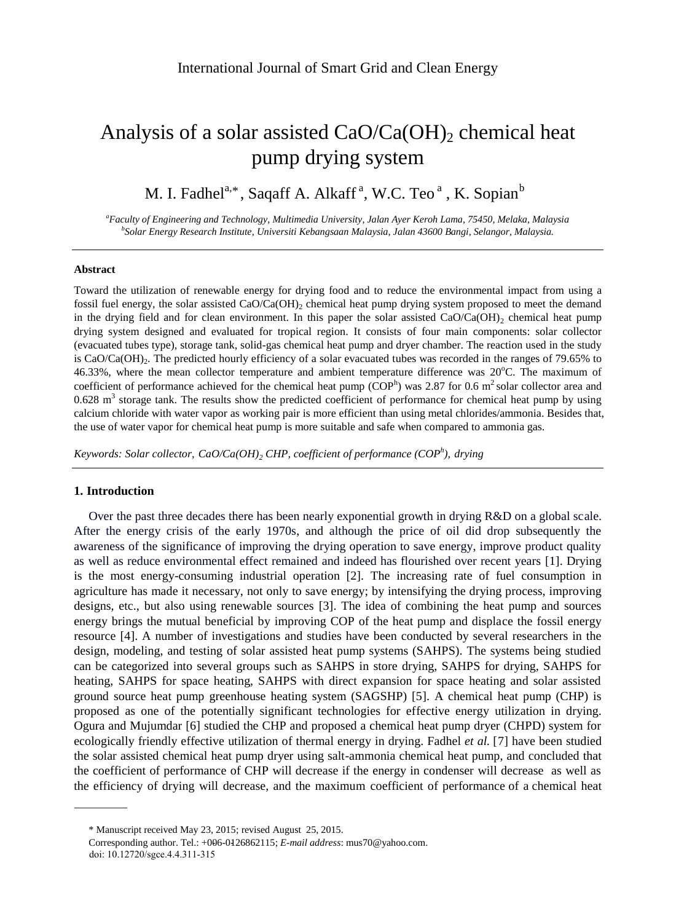# Analysis of a solar assisted  $CaO/Ca(OH)$ <sub>2</sub> chemical heat pump drying system

M. I. Fadhel<sup>a,\*</sup>, Saqaff A. Alkaff<sup>a</sup>, W.C. Teo<sup>a</sup>, K. Sopian<sup>b</sup>

*<sup>a</sup>Faculty of Engineering and Technology, Multimedia University, Jalan Ayer Keroh Lama, 75450, Melaka, Malaysia b Solar Energy Research Institute, Universiti Kebangsaan Malaysia, Jalan 43600 Bangi, Selangor, Malaysia.*

## **Abstract**

Toward the utilization of renewable energy for drying food and to reduce the environmental impact from using a fossil fuel energy, the solar assisted CaO/Ca(OH)<sub>2</sub> chemical heat pump drying system proposed to meet the demand in the drying field and for clean environment. In this paper the solar assisted  $CaO/Ca(OH)_{2}$  chemical heat pump drying system designed and evaluated for tropical region. It consists of four main components: solar collector (evacuated tubes type), storage tank, solid-gas chemical heat pump and dryer chamber. The reaction used in the study is CaO/Ca(OH)<sup>2</sup> . The predicted hourly efficiency of a solar evacuated tubes was recorded in the ranges of 79.65% to 46.33%, where the mean collector temperature and ambient temperature difference was 20°C. The maximum of coefficient of performance achieved for the chemical heat pump ( $COP<sup>h</sup>$ ) was 2.87 for 0.6 m<sup>2</sup> solar collector area and  $0.628$  m<sup>3</sup> storage tank. The results show the predicted coefficient of performance for chemical heat pump by using calcium chloride with water vapor as working pair is more efficient than using metal chlorides/ammonia. Besides that, the use of water vapor for chemical heat pump is more suitable and safe when compared to ammonia gas.

*Keywords: Solar collector, CaO/Ca(OH)<sup>2</sup> CHP, coefficient of performance (COP<sup>h</sup> ), drying*

## **1. Introduction**

Over the past three decades there has been nearly exponential growth in drying R&D on a global scale. After the energy crisis of the early 1970s, and although the price of oil did drop subsequently the awareness of the significance of improving the drying operation to save energy, improve product quality as well as reduce environmental effect remained and indeed has flourished over recent years [1]. Drying is the most energy-consuming industrial operation [2]. The increasing rate of fuel consumption in agriculture has made it necessary, not only to save energy; by intensifying the drying process, improving designs, etc., but also using renewable sources [3]. The idea of combining the heat pump and sources energy brings the mutual beneficial by improving COP of the heat pump and displace the fossil energy resource [4]. A number of investigations and studies have been conducted by several researchers in the design, modeling, and testing of solar assisted heat pump systems (SAHPS). The systems being studied can be categorized into several groups such as SAHPS in store drying, SAHPS for drying, SAHPS for heating, SAHPS for space heating, SAHPS with direct expansion for space heating and solar assisted ground source heat pump greenhouse heating system (SAGSHP) [5]. A chemical heat pump (CHP) is proposed as one of the potentially significant technologies for effective energy utilization in drying. Ogura and Mujumdar [6] studied the CHP and proposed a chemical heat pump dryer (CHPD) system for ecologically friendly effective utilization of thermal energy in drying. Fadhel et al. [7] have been studied the solar assisted chemical heat pump dryer using salt-ammonia chemical heat pump, and concluded that the coefficient of performance of CHP will decrease if the energy in condenser will decrease as well as the efficiency of drying will decrease, and the maximum coefficient of performance of a chemical [heat](http://en.wikipedia.org/wiki/Heat_pump) 

doi: 10.12720/sgce.4.4.311-315

<sup>\*</sup> Manuscript received May 23, 2015; revised August 25, 2015.

Corresponding author. Tel.: +006-0126862115; *E-mail address*: mus70@yahoo.com.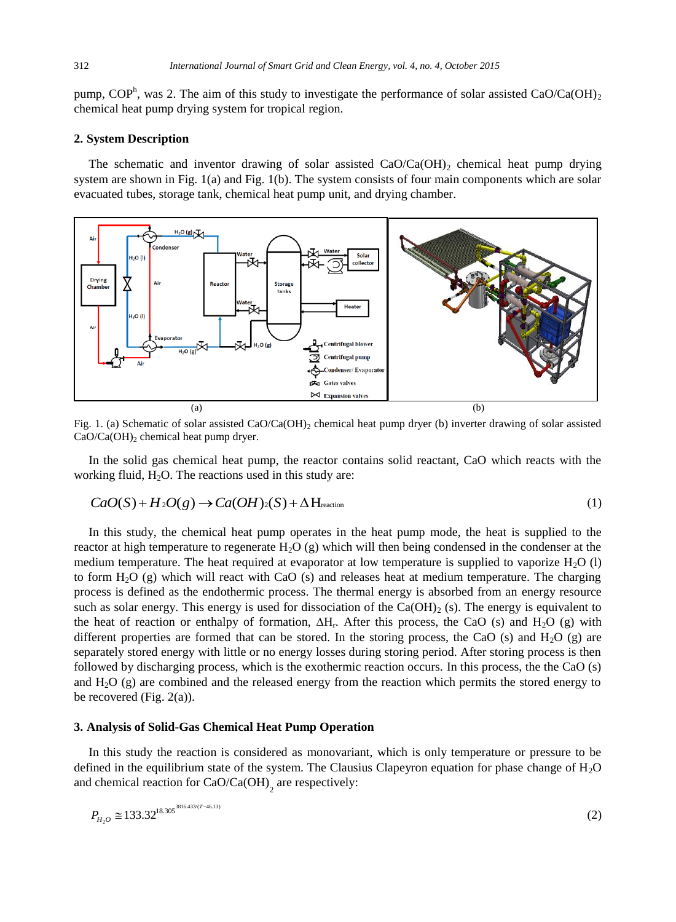[pump,](http://en.wikipedia.org/wiki/Heat_pump) COP<sup>h</sup>, was 2. The aim of this study to investigate the performance of solar assisted CaO/Ca(OH)<sub>2</sub> chemical heat pump drying system for tropical region.

## **2. System Description**

The schematic and inventor drawing of solar assisted  $CaO/Ca(OH)_{2}$  chemical heat pump drying system are shown in Fig. 1(a) and Fig. 1(b). The system consists of four main components which are solar evacuated tubes, storage tank, chemical heat pump unit, and drying chamber.



Fig. 1. (a) Schematic of solar assisted CaO/Ca(OH)<sub>2</sub> chemical heat pump dryer (b) inverter drawing of solar assisted  $CaO/Ca(OH)<sub>2</sub>$  chemical heat pump dryer.

In the solid gas chemical heat pump, the reactor contains solid reactant, CaO which reacts with the working fluid,  $H_2O$ . The reactions used in this study are:

$$
CaO(S) + H_2O(g) \to Ca(OH)_2(S) + \Delta \text{H}_{reaction}
$$
\n(1)

In this study, the chemical heat pump operates in the heat pump mode, the heat is supplied to the reactor at high temperature to regenerate  $H_2O(g)$  which will then being condensed in the condenser at the medium temperature. The heat required at evaporator at low temperature is supplied to vaporize  $H_2O$  (l) to form H2O (g) which will react with CaO (s) and releases heat at medium temperature. The charging process is defined as the endothermic process. The thermal energy is absorbed from an energy resource such as solar energy. This energy is used for dissociation of the  $Ca(OH)_2$  (s). The energy is equivalent to the heat of reaction or enthalpy of formation,  $\Delta H_r$ . After this process, the CaO (s) and H<sub>2</sub>O (g) with different properties are formed that can be stored. In the storing process, the CaO (s) and  $H<sub>2</sub>O$  (g) are separately stored energy with little or no energy losses during storing period. After storing process is then followed by discharging process, which is the exothermic reaction occurs. In this process, the the CaO (s) and  $H_2O$  (g) are combined and the released energy from the reaction which permits the stored energy to be recovered (Fig.  $2(a)$ ).

#### **3. Analysis of Solid-Gas Chemical Heat Pump Operation**

In this study the reaction is considered as monovariant, which is only temperature or pressure to be defined in the equilibrium state of the system. The Clausius Clapeyron equation for phase change of  $H<sub>2</sub>O$ and chemical reaction for  $CaO/Ca(OH)$ <sub>2</sub> are respectively:

$$
P_{H_2O} \cong 133.32^{18.305^{3816.433/(T-46.13)}}
$$
\n(2)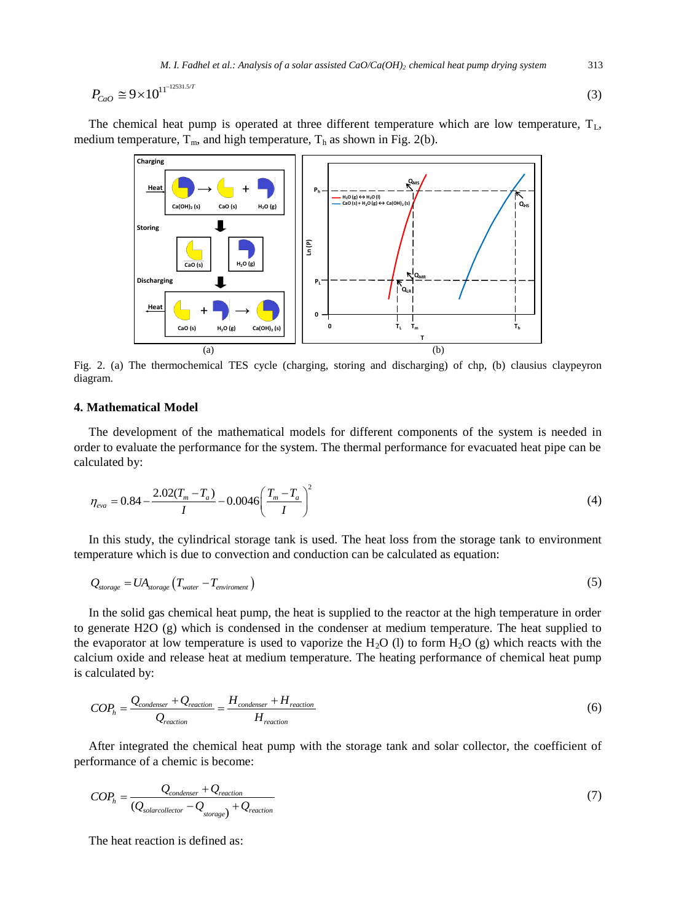$$
P_{CaO} \cong 9 \times 10^{11^{-12531.5/T}}
$$
\n<sup>(3)</sup>

The chemical heat pump is operated at three different temperature which are low temperature,  $T_{L}$ , medium temperature,  $T_m$ , and high temperature,  $T_h$  as shown in Fig. 2(b).



Fig. 2. (a) The thermochemical TES cycle (charging, storing and discharging) of chp, (b) clausius claypeyron diagram.

# **4. Mathematical Model**

The development of the mathematical models for different components of the system is needed in order to evaluate the performance for the system. The thermal performance for evacuated heat pipe can be calculated by:

$$
\eta_{\text{eva}} = 0.84 - \frac{2.02(T_m - T_a)}{I} - 0.0046 \left( \frac{T_m - T_a}{I} \right)^2 \tag{4}
$$

In this study, the cylindrical storage tank is used. The heat loss from the storage tank to environment temperature which is due to convection and conduction can be calculated as equation:

$$
Q_{\text{storage}} = U A_{\text{storage}} \left( T_{\text{water}} - T_{\text{environment}} \right) \tag{5}
$$

In the solid gas chemical heat pump, the heat is supplied to the reactor at the high temperature in order to generate H2O  $(g)$  which is condensed in the condenser at medium temperature. The heat supplied to the evaporator at low temperature is used to vaporize the H<sub>2</sub>O (l) to form H<sub>2</sub>O (g) which reacts with the calcium oxide and release heat at medium temperature. The heating performance of chemical heat pump is calculated by:

$$
COP_h = \frac{Q_{condenser} + Q_{reaction}}{Q_{reaction}} = \frac{H_{condenser} + H_{reaction}}{H_{reaction}}
$$
\n(6)

After integrated the chemical heat pump with the storage tank and solar collector, the coefficient of performance of a chemic is become:

$$
COP_h = \frac{Q_{condenser} + Q_{reaction}}{(Q_{solarcollectron} - Q_{storage}) + Q_{reaction}}
$$
\n(7)

The heat reaction is defined as: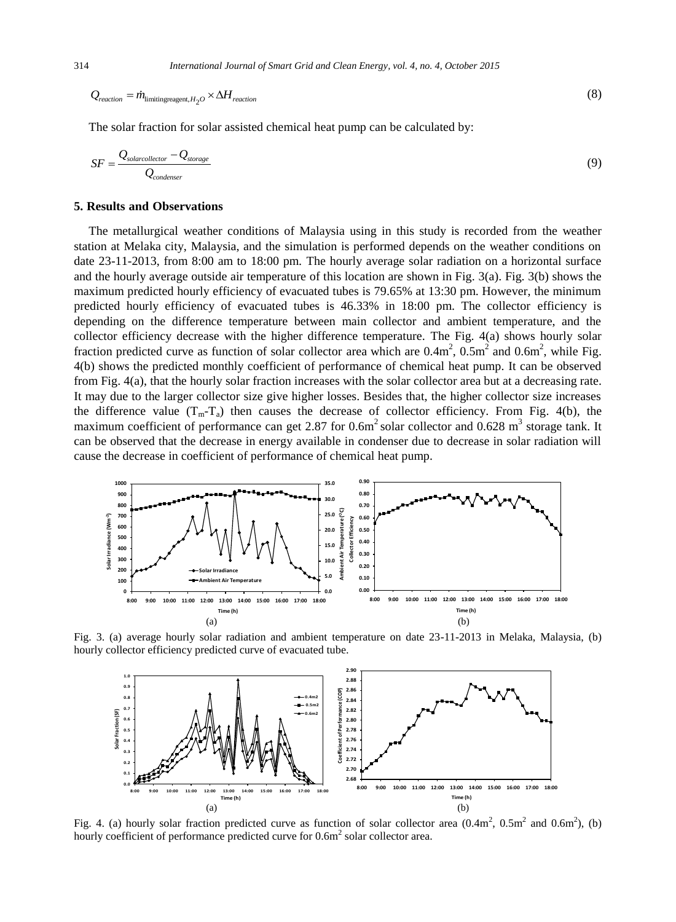$$
Q_{reaction} = \dot{m}_{\text{limitingreagent}, H_2O} \times \Delta H_{reaction} \tag{8}
$$

The solar fraction for solar assisted chemical heat pump can be calculated by:

$$
SF = \frac{Q_{\text{solarcollectron}} - Q_{\text{storage}}}{Q_{\text{condenser}}}
$$
\n(9)

## **5. Results and Observations**

The metallurgical weather conditions of Malaysia using in this study is recorded from the weather station at Melaka city, Malaysia, and the simulation is performed depends on the weather conditions on date 23-11-2013, from 8:00 am to 18:00 pm. The hourly average solar radiation on a horizontal surface and the hourly average outside air temperature of this location are shown in Fig. 3(a). Fig. 3(b) shows the maximum predicted hourly efficiency of evacuated tubes is 79.65% at 13:30 pm. However, the minimum predicted hourly efficiency of evacuated tubes is 46.33% in 18:00 pm. The collector efficiency is depending on the difference temperature between main collector and ambient temperature, and the collector efficiency decrease with the higher difference temperature. The Fig. 4(a) shows hourly solar fraction predicted curve as function of solar collector area which are  $0.4 \text{m}^2$ ,  $0.5 \text{m}^2$  and  $0.6 \text{m}^2$ , while Fig. 4(b) shows the predicted monthly coefficient of performance of chemical heat pump. It can be observed from Fig. 4(a), that the hourly solar fraction increases with the solar collector area but at a decreasing rate. It may due to the larger collector size give higher losses. Besides that, the higher collector size increases the difference value  $(T_m - T_a)$  then causes the decrease of collector efficiency. From Fig. 4(b), the maximum coefficient of performance can get 2.87 for  $0.6m^2$  solar collector and  $0.628 m^3$  storage tank. It can be observed that the decrease in energy available in condenser due to decrease in solar radiation will cause the decrease in coefficient of performance of chemical heat pump.



Fig. 3. (a) average hourly solar radiation and ambient temperature on date 23-11-2013 in Melaka, Malaysia, (b) hourly collector efficiency predicted curve of evacuated tube.



Fig. 4. (a) hourly solar fraction predicted curve as function of solar collector area  $(0.4m^2, 0.5m^2, and 0.6m^2)$ , (b) hourly coefficient of performance predicted curve for  $0.6m^2$  solar collector area.